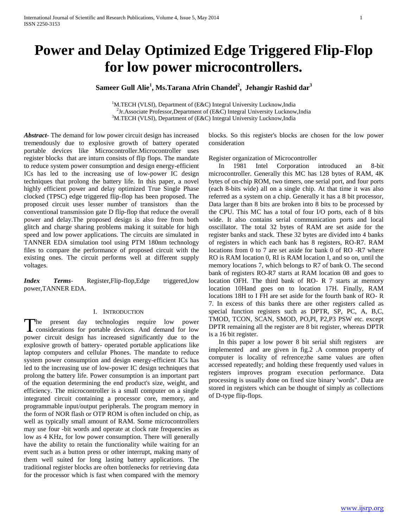# **Power and Delay Optimized Edge Triggered Flip-Flop for low power microcontrollers.**

# **Sameer Gull Alie<sup>1</sup> , Ms.Tarana Afrin Chandel<sup>2</sup> , Jehangir Rashid dar<sup>3</sup>**

<sup>1</sup>M.TECH (VLSI), Department of (E&C) Integral University Lucknow, India <sup>2</sup>Jr.Associate Professor,Department of (E&C) Integral University Lucknow,India <sup>3</sup>M.TECH (VLSI), Department of (E&C) Integral University Lucknow, India

*Abstract***-** The demand for low power circuit design has increased tremendously due to explosive growth of battery operated portable devices like Microcontroller.Microcontroller uses register blocks that are inturn consists of flip flops. The mandate to reduce system power consumption and design energy-efficient ICs has led to the increasing use of low-power IC design techniques that prolong the battery life. In this paper, a novel highly efficient power and delay optimized True Single Phase clocked (TPSC) edge triggered flip-flop has been proposed. The proposed circuit uses lesser number of transistors than the conventional transmission gate D flip-flop that reduce the overall power and delay.The proposed design is also free from both glitch and charge sharing problems making it suitable for high speed and low power applications. The circuits are simulated in TANNER EDA simulation tool using PTM 180nm technology files to compare the performance of proposed circuit with the existing ones. The circuit performs well at different supply voltages.

*Index Terms*- Register, Flip-flop, Edge triggered, low power,TANNER EDA.

#### I. INTRODUCTION

The present day technologies require low power The present day technologies require low power considerations for portable devices. And demand for low power circuit design has increased significantly due to the explosive growth of battery- operated portable applications like laptop computers and cellular Phones. The mandate to reduce system power consumption and design energy-efficient ICs has led to the increasing use of low-power IC design techniques that prolong the battery life. Power consumption is an important part of the equation determining the end product's size, weight, and efficiency. The microcontroller is a small computer on a single integrated circuit containing a processor core, memory, and programmable input/output peripherals. The program memory in the form of NOR flash or OTP ROM is often included on chip, as well as typically small amount of RAM. Some microcontrollers may use four -bit words and operate at clock rate frequencies as low as 4 KHz, for low power consumption. There will generally have the ability to retain the functionality while waiting for an event such as a button press or other interrupt, making many of them well suited for long lasting battery applications. The traditional register blocks are often bottlenecks for retrieving data for the processor which is fast when compared with the memory blocks. So this register's blocks are chosen for the low power consideration

Register organization of Microcontroller

 In 1981 Intel Corporation introduced an 8-bit microcontroller. Generally this MC has 128 bytes of RAM, 4K bytes of on-chip ROM, two timers, one serial port, and four ports (each 8-bits wide) all on a single chip. At that time it was also referred as a system on a chip. Generally it has a 8 bit processor, Data larger than 8 bits are broken into 8 bits to be processed by the CPU. This MC has a total of four I/O ports, each of 8 bits wide. It also contains serial communication ports and local osscillator. The total 32 bytes of RAM are set aside for the register banks and stack. These 32 bytes are divided into 4 banks of registers in which each bank has 8 registers, RO-R7. RAM locations from 0 to 7 are set aside for bank 0 of RO -R7 where RO is RAM location 0, RI is RAM location I, and so on, until the memory locations 7, which belongs to R7 of bank O. The second bank of registers RO-R7 starts at RAM location 08 and goes to location OFH. The third bank of RO- R 7 starts at memory location 10Hand goes on to location 17H. Finally, RAM locations 18H to I FH are set aside for the fourth bank of RO- R 7. In excess of this banks there are other registers called as special function registers such as DPTR, SP, PC, A, B,C, TMOD, TCON, SCAN, SMOD, PO,PI, P2,P3 PSW etc. except DPTR remaining all the register are 8 bit register, whereas DPTR is a 16 bit register.

 In this paper a low power 8 bit serial shift registers are implemented and are given in fig.2 .A common property of computer is locality of refrence;the same values are often accessed repeatedly; and holding these frequently used values in registers improves program execution performance. Data processing is usually done on fixed size binary 'words". Data are stored in registers which can be thought of simply as collections of D-type flip-flops.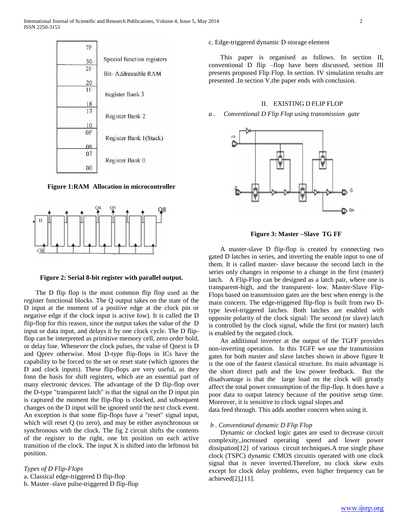

**Figure 1:RAM Allocation in microcontroller**



#### **Figure 2: Serial 8-bit register with parallel output.**

 The D flip flop is the most common flip flop used as the register functional blocks. The Q output takes on the state of the D input at the moment of a positive edge at the clock pin or negative edge if the clock input is active low). It is called the D flip-flop for this reason, since the output takes the value of the D input or data input, and delays it by one clock cycle. The D flipflop can be interpreted as primitive memory cell, zero order hold, or delay line. Whenever the clock pulses, the value of Qnext is D and Qprev otherwise. Most D-type flip-flops in ICs have the capability to be forced to the set or reset state (which ignores the D and clock inputs). These flip-flops are very useful, as they fonn the basis for shift registers, which are an essential part of many electronic devices. The advantage of the D flip-flop over the D-type "transparent latch" is that the signal on the D input pin is captured the moment the flip-flop is clocked, and subsequent changes on the D input will be ignored until the next clock event. An exception is that some flip-flops have a "reset" signal input, which will reset Q (to zero), and may be either asynchronous or synchronous with the clock. The fig 2 circuit shifts the contents of the register to the right, one bit position on each active transition of the clock. The input X is shifted into the leftmost bit position.

*Types of D Flip-Flops* a. Classical edge-triggered D flip-flop b. Master–slave pulse-triggered D flip-flop

### c. Edge-triggered dynamic D storage element

 This paper is organised as follows. In section II, conventional D flip –flop have been discussed, section III presents proposed Flip Flop. In section. IV simulation results are presented .In section V,the paper ends with conclusion.

# II. EXISTING D FLIP FLOP

*a . Conventional D Flip Flop using transmission gate* 



**Figure 3: Master –Slave TG FF**

 A master-slave D flip-flop is created by connecting two gated D latches in series, and inverting the enable input to one of them. It is called master- slave because the second latch in the series only changes in response to a change in the first (master) latch. A Flip-Flop can be designed as a latch pair, where one is transparent-high, and the transparent- low. Master-Slave Flip-Flops based on transmission gates are the best when energy is the main concern. The edge-triggered flip-flop is built from two Dtype level-triggered latches. Both latches are enabled with opposite polarity of the clock signal: The second (or slave) latch is controlled by the clock signal, while the first (or master) latch is enabled by the negated clock.

 An additional inverter at the output of the TGFF provides non-inverting operation. In this TGFF we use the transmission gates for both master and slave latches shown in above figure It is the one of the fastest classical structure. Its main advantage is the short direct path and the low power feedback. But the disadvantage is that the large load on the clock will greatly affect the total power consumption of the flip-flop. It does have a poor data to output latency because of the positive setup time. Moreover, it is sensitive to clock signal slopes and

data feed through. This adds another concern when using it.

### *b . Conventional dynamic D Flip Flop*

 Dynamic or clocked logic gates are used to decrease circuit complexity,,increased operating speed and lower power dissipation[12] of various circuit techniques.A true single phase clock (TSPC) dynamic CMOS circuitis operated with one clock signal that is never inverted.Therefore, no clock skew exits except for clock delay problems, even higher frequency can be achieved[2],[11].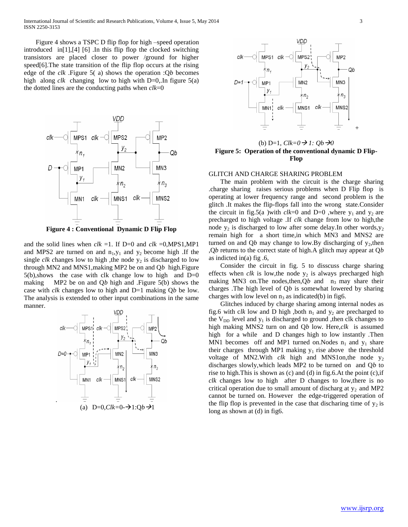International Journal of Scientific and Research Publications, Volume 4, Issue 5, May 2014 3 ISSN 2250-3153

 Figure 4 shows a TSPC D flip flop for high –speed operation introduced in[1],[4] [6] .In this flip flop the clocked switching transistors are placed closer to power /ground for higher speed[6].The state transition of the flip flop occurs at the rising edge of the *clk* .Figure 5( a) shows the operation :Q*b* becomes high along *clk* changing low to high with D=0,.In figure 5(a) the dotted lines are the conducting paths when *clk*=0



**Figure 4 : Conventional Dynamic D Flip Flop**

and the solid lines when  $clk =1$ . If D=0 and  $clk =0, MPS1, MP1$ and MPS2 are turned on and  $n_1, y_1$  and  $y_2$  become high .If the single  $clk$  changes low to high , the node  $y_2$  is discharged to low through MN2 and MNS1,making MP2 be on and Q*b* high.Figure  $5(b)$ , shows the case with clk change low to high and  $D=0$ making MP2 be on and Q*b* high and .Figure 5(b) shows the case with *clk* changes low to high and D=1 making Q*b* be low. The analysis is extended to other input combinations in the same manner.





(b) D=1,  $Clk=0 \rightarrow 1$ :  $Qb \rightarrow 0$ **Figure 5: Operation of the conventional dynamic D Flip-Flop**

### GLITCH AND CHARGE SHARING PROBLEM

 The main problem with the circuit is the charge sharing .charge sharing raises serious problems when D Flip flop is operating at lower frequency range and second problem is the glitch .It makes the flip-flops fall into the wrong state.Consider the circuit in fig.5(a )with  $clk=0$  and  $D=0$  ,where  $y_1$  and  $y_2$  are precharged to high voltage .If *clk* change from low to high,the node  $y_2$  is discharged to low after some delay.In other words,  $y_2$ remain high for a short time,in which MN3 and MNS2 are turned on and  $Qb$  may change to low. By discharging of  $y_2$ , then ,Q*b* returns to the correct state of high.A glitch may appear at Q*b* as indicted in(a) fig .6,

 Consider the circuit in fig. 5 to disscuss charge sharing effects when  $clk$  is low, the node  $y_2$  is always precharged high making MN3 on. The nodes, then,  $Qb$  and  $n_3$  may share their charges .The high level of Q*b* is somewhat lowered by sharing charges with low level on  $n_3$  as indicated(b) in fig6.

 Glitches induced by charge sharing among internal nodes as fig.6 with clk low and D high , both  $n_1$  and  $y_2$  are precharged to the  $V_{DD}$  level and  $y_1$  is discharged to ground , then clk changes to high making MNS2 turn on and Q*b* low. Here,*clk* is assumed high for a while and D changes high to low instantly .Then MN1 becomes off and MP1 turned on. Nodes  $n_1$  and  $y_1$  share their charges through MP1 making  $y_1$  rise above the threshold voltage of MN2. With *clk* high and MNS1on, the node y<sub>2</sub> discharges slowly,which leads MP2 to be turned on and Q*b* to rise to high.This is shown as (c) and (d) in fig.6.At the point (c),if *clk* changes low to high after D changes to low,there is no critical operation due to small amount of discharg at  $y_2$  and MP2 cannot be turned on. However the edge-triggered operation of the flip flop is prevented in the case that discharing time of  $y_2$  is long as shown at (d) in fig6.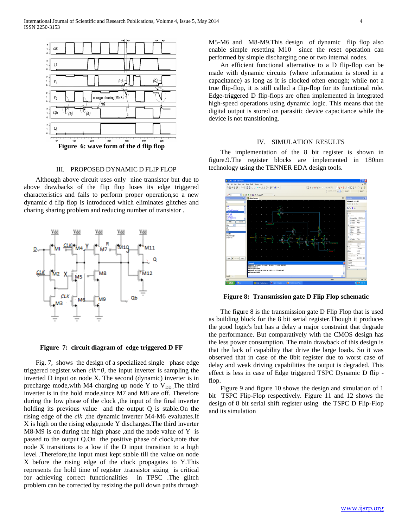

# III. PROPOSED DYNAMIC D FLIP FLOP

 Although above circuit uses only nine transistor but due to above drawbacks of the flip flop loses its edge triggered characteristics and fails to perform proper operation,so a new dynamic d flip flop is introduced which eliminates glitches and charing sharing problem and reducing number of transistor .



**Figure 7: circuit diagram of edge triggered D FF**

 Fig. 7, shows the design of a specialized single –phase edge triggered register.when *clk=0,* the input inverter is sampling the inverted D input on node X. The second (dynamic) inverter is in precharge mode, with M4 charging up node Y to  $V_{DD}$ . The third inverter is in the hold mode,since M7 and M8 are off. Therefore during the low phase of the clock ,the input of the final inverter holding its previous value and the output Q is stable.On the rising edge of the *clk* ,the dynamic inverter M4-M6 evaluates.If X is high on the rising edge,node Y discharges.The third inverter M8-M9 is on during the high phase , and the node value of Y is passed to the output Q.On the positive phase of clock,note that node X transitions to a low if the D input transition to a high level .Therefore,the input must kept stable till the value on node X before the rising edge of the clock propagates to Y.This represents the hold time of register .transistor sizing is critical for achieving correct functionalities in TPSC .The glitch problem can be corrected by resizing the pull down paths through

M5-M6 and M8-M9.This design of dynamic flip flop also enable simple resetting M10 since the reset operation can performed by simple discharging one or two internal nodes.

 An efficient functional alternative to a D flip-flop can be made with dynamic circuits (where information is stored in a capacitance) as long as it is clocked often enough; while not a true flip-flop, it is still called a flip-flop for its functional role. Edge-triggered D flip-flops are often implemented in integrated high-speed operations using dynamic logic. This means that the digital output is stored on parasitic device capacitance while the device is not transitioning.

#### IV. SIMULATION RESULTS

 The implementation of the 8 bit register is shown in figure.9.The register blocks are implemented in 180nm technology using the TENNER EDA design tools.



**Figure 8: Transmission gate D Flip Flop schematic**

 The figure 8 is the transmission gate D Flip Flop that is used as building block for the 8 bit serial register.Though it produces the good logic's but has a delay a major constraint that degrade the performance. But comparatively with the CMOS design has the less power consumption. The main drawback of this design is that the lack of capability that drive the large loads. So it was observed that in case of the 8bit register due to worst case of delay and weak driving capabilities the output is degraded. This effect is less in case of Edge triggered TSPC Dynamic D flip flop.

 Figure 9 and figure 10 shows the design and simulation of 1 bit TSPC Flip-Flop respectively. Figure 11 and 12 shows the design of 8 bit serial shift register using the TSPC D Flip-Flop and its simulation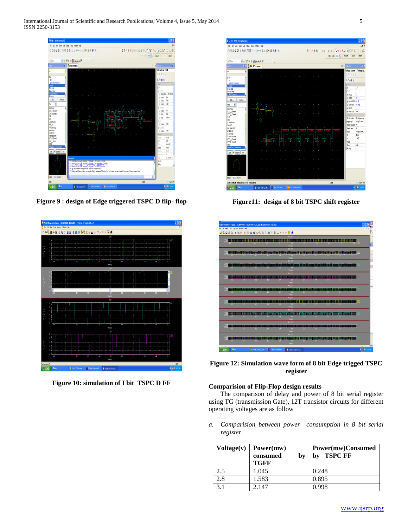International Journal of Scientific and Research Publications, Volume 4, Issue 5, May 2014 5 ISSN 2250-3153



**Figure 9 : design of Edge triggered TSPC D flip- flop**



**Figure 10: simulation of I bit TSPC D FF**



**Figure11: design of 8 bit TSPC shift register**



**Figure 12: Simulation wave form of 8 bit Edge trigged TSPC register**

# **Comparision of Flip-Flop design results**

 The comparison of delay and power of 8 bit serial register using TG (transmission Gate), 12T transistor circuits for different operating voltages are as follow

*a. Comparision between power consumption in 8 bit serial register.*

| Voltage(v) | Power(mw)<br>consumed<br>by<br><b>TGFF</b> | Power(mw)Consumed<br><b>TSPC FF</b><br>bv |
|------------|--------------------------------------------|-------------------------------------------|
| 2.5        | 1.045                                      | 0.248                                     |
| 2.8        | 1.583                                      | 0.895                                     |
| 31         | 2.147                                      | 0.998                                     |